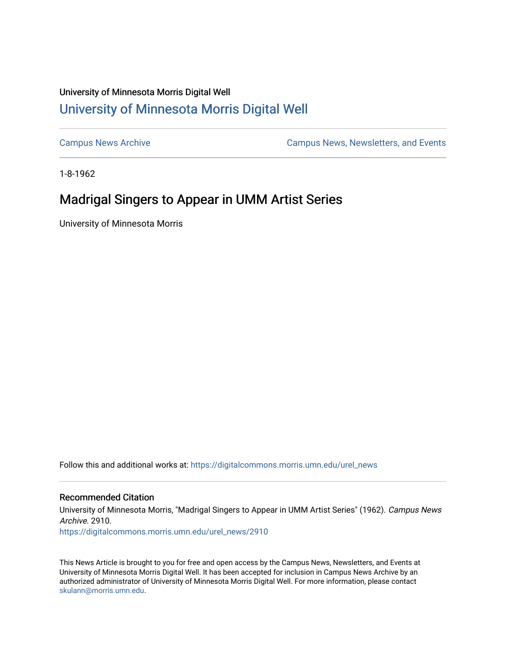## University of Minnesota Morris Digital Well [University of Minnesota Morris Digital Well](https://digitalcommons.morris.umn.edu/)

[Campus News Archive](https://digitalcommons.morris.umn.edu/urel_news) [Campus News, Newsletters, and Events](https://digitalcommons.morris.umn.edu/externalrel) 

1-8-1962

## Madrigal Singers to Appear in UMM Artist Series

University of Minnesota Morris

Follow this and additional works at: [https://digitalcommons.morris.umn.edu/urel\\_news](https://digitalcommons.morris.umn.edu/urel_news?utm_source=digitalcommons.morris.umn.edu%2Furel_news%2F2910&utm_medium=PDF&utm_campaign=PDFCoverPages) 

## Recommended Citation

University of Minnesota Morris, "Madrigal Singers to Appear in UMM Artist Series" (1962). Campus News Archive. 2910.

[https://digitalcommons.morris.umn.edu/urel\\_news/2910](https://digitalcommons.morris.umn.edu/urel_news/2910?utm_source=digitalcommons.morris.umn.edu%2Furel_news%2F2910&utm_medium=PDF&utm_campaign=PDFCoverPages) 

This News Article is brought to you for free and open access by the Campus News, Newsletters, and Events at University of Minnesota Morris Digital Well. It has been accepted for inclusion in Campus News Archive by an authorized administrator of University of Minnesota Morris Digital Well. For more information, please contact [skulann@morris.umn.edu.](mailto:skulann@morris.umn.edu)